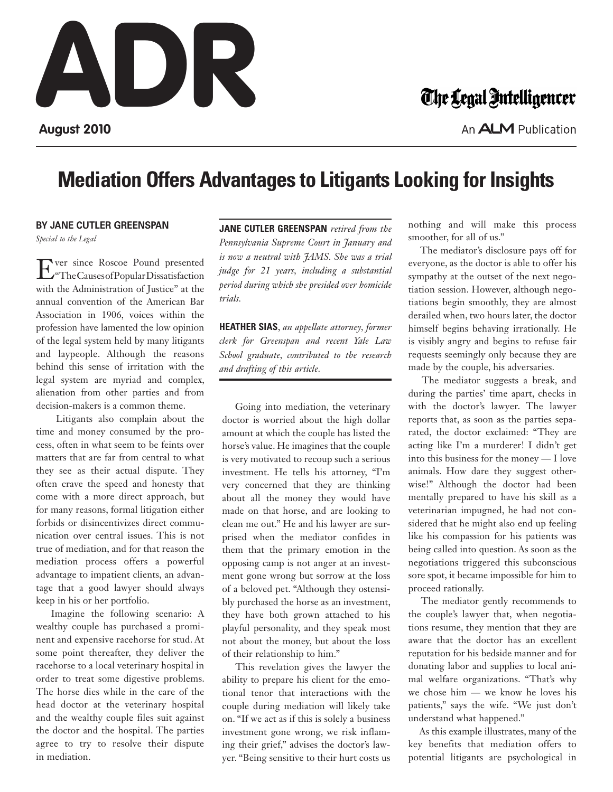## **August 2010**

## The Legal Intelligencer

An **ALM** Publication

## **Mediation Offers Advantages to Litigants Looking for Insights**

## **By Jane Cutler Greenspan**

*Special to the Legal*

Ever since Roscoe Pound presented "The Causes of Popular Dissatisfaction with the Administration of Justice" at the annual convention of the American Bar Association in 1906, voices within the profession have lamented the low opinion of the legal system held by many litigants and laypeople. Although the reasons behind this sense of irritation with the legal system are myriad and complex, alienation from other parties and from decision-makers is a common theme.

 Litigants also complain about the time and money consumed by the process, often in what seem to be feints over matters that are far from central to what they see as their actual dispute. They often crave the speed and honesty that come with a more direct approach, but for many reasons, formal litigation either forbids or disincentivizes direct communication over central issues. This is not true of mediation, and for that reason the mediation process offers a powerful advantage to impatient clients, an advantage that a good lawyer should always keep in his or her portfolio.

 Imagine the following scenario: A wealthy couple has purchased a prominent and expensive racehorse for stud. At some point thereafter, they deliver the racehorse to a local veterinary hospital in order to treat some digestive problems. The horse dies while in the care of the head doctor at the veterinary hospital and the wealthy couple files suit against the doctor and the hospital. The parties agree to try to resolve their dispute in mediation.

**Jane Cutler Greenspan** *retired from the Pennsylvania Supreme Court in January and is now a neutral with JAMS. She was a trial judge for 21 years, including a substantial period during which she presided over homicide trials.* 

**Heather Sias**, *an appellate attorney, former clerk for Greenspan and recent Yale Law School graduate, contributed to the research and drafting of this article.*

 Going into mediation, the veterinary doctor is worried about the high dollar amount at which the couple has listed the horse's value. He imagines that the couple is very motivated to recoup such a serious investment. He tells his attorney, "I'm very concerned that they are thinking about all the money they would have made on that horse, and are looking to clean me out." He and his lawyer are surprised when the mediator confides in them that the primary emotion in the opposing camp is not anger at an investment gone wrong but sorrow at the loss of a beloved pet. "Although they ostensibly purchased the horse as an investment, they have both grown attached to his playful personality, and they speak most not about the money, but about the loss of their relationship to him."

 This revelation gives the lawyer the ability to prepare his client for the emotional tenor that interactions with the couple during mediation will likely take on. "If we act as if this is solely a business investment gone wrong, we risk inflaming their grief," advises the doctor's lawyer. "Being sensitive to their hurt costs us nothing and will make this process smoother, for all of us."

 The mediator's disclosure pays off for everyone, as the doctor is able to offer his sympathy at the outset of the next negotiation session. However, although negotiations begin smoothly, they are almost derailed when, two hours later, the doctor himself begins behaving irrationally. He is visibly angry and begins to refuse fair requests seemingly only because they are made by the couple, his adversaries.

 The mediator suggests a break, and during the parties' time apart, checks in with the doctor's lawyer. The lawyer reports that, as soon as the parties separated, the doctor exclaimed: "They are acting like I'm a murderer! I didn't get into this business for the money — I love animals. How dare they suggest otherwise!" Although the doctor had been mentally prepared to have his skill as a veterinarian impugned, he had not considered that he might also end up feeling like his compassion for his patients was being called into question. As soon as the negotiations triggered this subconscious sore spot, it became impossible for him to proceed rationally.

 The mediator gently recommends to the couple's lawyer that, when negotiations resume, they mention that they are aware that the doctor has an excellent reputation for his bedside manner and for donating labor and supplies to local animal welfare organizations. "That's why we chose him — we know he loves his patients," says the wife. "We just don't understand what happened."

 As this example illustrates, many of the key benefits that mediation offers to potential litigants are psychological in